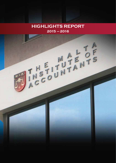### **2015 – 2016 HIGHLIGHTS REPORT**

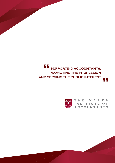

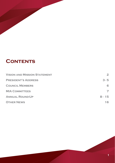# **CONTENTS**

| <b>VISION AND MISSION STATEMENT</b> | $\mathbf{2}$             |
|-------------------------------------|--------------------------|
| <b>PRESIDENT'S ADDRESS</b>          | $3 - 5$                  |
| <b>COUNCIL MEMBERS</b>              | 6                        |
| <b>MIA COMMITTEES</b>               | $\overline{\phantom{a}}$ |
| <b>ANNUAL ROUND-UP</b>              | $8 - 15$                 |
| <b>OTHER NEWS</b>                   | 16                       |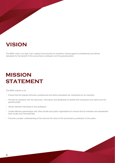# **VISION**

The MIA's vision is to lead, train, support and promote its members, having regard to professional and ethical standards for the benefit of the accountancy profession and the general public.

# **MISSION STATEMENT**

The MIA's mission is to:

- Ensure that the highest technical, professional and ethical standards are maintained by its members.
- Provide its members with the resources, information and leadership to benefit their employers and clients and the general public.
- Attract talented individuals to the profession.
- Create effective partnerships with other private and public organisations to ensure that its members are represented both locally and internationally.
- Promote a proper understanding of the role and the value of the accountancy profession to the public.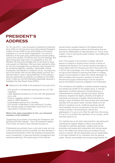### **PRESIDENT'S ADDRESS**

On 7th July 2015, I was honoured to preside the Institute's 52nd AGM, for the first time since being elected President. Indeed, at every AGM of any entity being a commercial enterprise or a not-for-profit organisation, it is a time of reflection on the past year's performance towards adding value to the member. At Officers and Council meetings and also at Executive team level, our obsession is You, the Member. We fully acknowledge that we are there to serve and support our Members. We have been elected to office by You and we pledge fully our fiduciary duty towards You by remaining objective, unselfish, responsible, honest, trustworthy, and efficient in whatever we do. I do hope You are of the opinion that we are sailing steady and that You feel that there is value in being Members of the Institute. I take the opportunity to replicate my address to the AGM, which I hope you will find interesting especially because it highlights the Key Result Areas (KRAs).

- Welcome to the AGM of the Institute for the year 2016
- 10% growth in membership reaching just shy of 2,700 members.
- 1,800 registered students as of now with 200 graduands every year.
- Close to negligible attrition in membership number close to 100% retention.
- Consolidated revenue of €1.35million.
- 10% growth in Members Funds reaching €1.2million.
- We normally speak of shareholder value which in our case refers to member value.

#### **What is the value proposition to You, our esteemed members of the Institute?**

"Supporting Accountants, Promoting the Profession and Serving the Public Interest". This is the Institute's tagline. This is what we need to stay intensely focused on.

Professional accountants have a vital role to play not only in the commercial success of entities, but also perhaps in raising financial literacy within the populace at grassroots and in households, in personal financial management and retirement planning. The brand equity of the Institute

should remain squarely based on the highest ethical behaviour and proficiency behind all information that we provide for stakeholders to take decisions on. This is what matters. This is 'serving the public interest' and fulfilling the Institute's vision.

Even if the supply of accountants is steady, demand seems to outpace it causing some concern in terms of satisfying the demand. Our counter reaction has been to import talent both from Europe and rest of the world (155 in 2015). Not surprisingly, one of the major challenges that we face at the Institute is ensuring that there is a steady supply of accountants to match the market demands. At MIA we believe that long term solutions to these HR demand and supply shortcomings must be sought to ensure that Malta's economic progress is not hampered.

The confidence and stability in markets towards creating and preserving wealth for the greater good, is critically dependent on ethical behaviour. Ethical behaviour is characterised by honesty, fairness and equity. Ethical behaviour respects the dignity, diversity and rights of individuals and groups of people. Ethical behaviour is acting in ways consistent with what society and individuals typically think are good values. Society needs us to be ethical in whatever we do. Unethical practices will still most probably come to us because in the end, there is money involved in all transactions. We are the gatekeepers. It is up to us to filter the right from the wrong. It is up to us to protect the reputation of our country, which has been good to us.

Our Institute has so far been instrumental in educating and upholding the highest degree of ethics and rectitude amongst its members generally. I believe that we are extremely well-poised and entrenched with strong values that in turn reflect the values that as an Institute we are proud to uphold. We are responsible and act responsibly, in the best interests of our members and the general public. We are accountable and accept responsibility for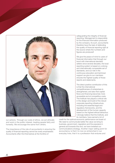

our actions. Through our code of ethics, we act ethically and work in the public interest, treating people fairly and honestly. We encourage the same from others.

The importance of the role of accountants in ensuring the quality of financial reporting cannot be overly emphasised. Accountants often find themselves at the frontline of

safeguarding the integrity of financial reporting. Management is responsible for the financial information produced by the company. As such, accountants therefore have the task of defending the quality of financial reporting right at the source where the numbers and figures are produced!

We give the peace of mind to users of financial information that through our bond with international standard setters since several decades, the local reporting system is based on a strong and internationally comparable set of standards, and our role in the continuous education and technical support we give to our members ensures the highest quality of those reports and statements.

The direct positive contribution of this is that the international competitiveness of enterprises is strengthened, and also that capital flows and financing becomes more accessible and at competitive costs. The Institute has played a critical role in the design-and-build of the robust corporate reporting infrastructure, including the essential legal and regulatory frameworks, and the development of the human capacity based on the highest ethical behaviour. I strongly believe that the Institute, and its members, have earned a lot of

credit for the optimal economic performance we boast of. We need to communicate better the value we bring to business, government, regulators and the populace in general and towards this end, we have tweaked our communications strategy. Another major selling point for accountancy is that it is now so entrenched in our everyday lives, that it is a profession that endures and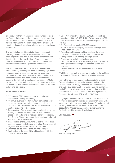also grows further, even in economic downturns. It is a profession that supports the harmonisation of reporting requirements and hence provides accountants with a flexible international mobility. Accountants are and will remain in demand, both in developed and still developing economies.

Our Institute has contributed significantly in capacity building towards high calibre professionals who are premier players and who in turn improve transparency, thus facilitating the mobilisation of domestic and international investment, creating a sound investment environment and fostering investor confidence.

The Institute plays a significant role in the economic fabric, not only by being the voice of the language which is the grammar of business, but also by being the promoter, educator and gatekeeper of high technical and ethical standards. The Institute has over the years become the hallmark of the largest profession in Malta providing in-house technical and consultative material to its esteemed members and also to Government towards policy and legislation.

#### **Some relevant KRAs:**

- \* 177 hours of CPE during last year in core including prevention of money laundering.
- An annual average of 100 voluntary committee hours dedicated to anti-money laundering and ethics.
- Launch of the 'CPEonline-Your Time!' which is an online solution providing 118 courses.
- Transposition of the revised statutory directive and the PIE regulation (the EU Audit reform) resulted in 59 pages of amendments to Acts and other Regulations. The Code of Ethics, 135 pages, has also been redrafted as a result of the audit reform.
- Transposition of the Accounting Directive resulted in 27 pages of amendments to Acts and other Regulations. 94 pages of GAPSME were created from scratch.
- Guidance issued by MIA amounted to 32 pages.
- Contributed to the Legal Bill working closely with the Chamber of Advocates
- \* Since November 2015 to June 2016, Facebook likes grew from 1,666 to 3,460; Twitter followers grew to 303 from zero baseline and LinkedIn followers grew from 291 to 465.
- \* On Facebook we reached 56,855 people.
- \* A total of 88 email campaigns were sent using Epaper since December 2015.
- Forged new alliances with FinanceMalta, the Malta Chamber of Commerce, Malta Association of Credit Management, BOV Training, amongst others.
- Presence and visibility in the local media.
- \* Launch of the 'MiApp-Take advantage' which is Member privilege scheme offering best prices on goods and services.
- \* Transformation of the social events towards more inclusion.
- \* 1,311 man-hours of voluntary contribution to the Institute by Council, Officers and Technical Working Groups.

I cannot forget to pay respect and gratitude to all past Council Members, with special mention made of Hilary Galea Lauri for his long years of service to the Institute, and sadly, to a past member of Council, and a gentleman, Kevin Mahoney, who passed in November last year. He served the Council for 13 years. Kevin was a gentleman, respected by his peers and all who knew him.

I augur you the best for the rest of this AGM and also look forward to seeing more participation in conferences, CPE, workshops, voluntary contribution in Sub-Committees…all for the greater good of the Institute, the voice of the accountant, "Supporting Accountants, Promoting the Profession and Serving the Public Interest"

Stay focused. 99

**Franco Azzopardi**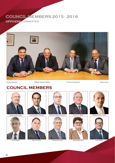# COUNCIL MEMBERS 2015 - 2016

OFFICERS COMMITTEE



### **COUNCIL MEMBERS**



















**Noel Mizzi Simon Flynn Stephen Paris Maria Micallef Ivan Grixti**



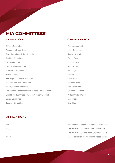### **MIA COMMITTEES**

Officers Committee **Franco** Azzopardi Accounting Committee **Hilary Galea-Lauri Hilary Galea-Lauri** Anti-Money Laundering Committee **Juanita Bencini** Juanita Bencini Auditing Committee **Simon Flynn** CPE Committee Franz R. Wirth Disciplinary Committee John Bonello Education Committee **Paul Giglio** Paul Giglio Ethics Committee Mario P. Galea FEE Representation Committee Mark Abela Financial Services Committee Stephen Paris Investigations Committee **Benjamin Rizzo** Benjamin Rizzo Professional Accountants in Business (PAIB) Committee Stephen L. Muscat Small & Medium Sized Practices Advisory Committee William Spiteri Bailey Social Committee Mark Abela Mark Abela Taxation Committee **David Ferry** David Ferry

#### **COMMITTEE COMMITTEE**

#### **AFFILIATIONS**

FEE FEE IFAC The International Federation of Accountants IASB The International Accounting Standards Board MFPA Malta Federation of Professional Associations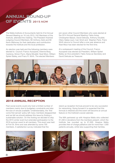# ANNUAL ROUND-UP OF EVENTS 2015 AGM

The Malta Institute of Accountants held its 51st Annual General Meeting on 16 July 2015. 242 Members of the Institute, attended the meeting. The President thanked outgoing Council Members, Mr Anthony Zarb and Mr Kevin Mahoney for their dedication and contribution towards the Institute and the local profession.

An election was held and the following members were elected to Council: Franco Azzopardi, Etienne Borg Cardona, Simon Flynn, Maria Micallef, Noel Mizzi, William Spiteri Bailey, and Franz R. Wirth. The elected Members

join seven other Council Members who were elected at the 2014 Annual General Meeting: Fabio Axisa, Christopher Balzan, David Delicata, Anthony Doublet, Hilary Galea-Lauri, Ivan Grixti and Stephen Paris. Franz Wirth returns to Council after a one year absence and Noel Mizzi has been elected for the first time.

At a subsequent meeting of the Council, Franco Azzopardi was elected as President, William Spiteri Bailey as Vice-president, Fabio Axisa as Secretary and David Delicata as Treasurer.



#### **2016 ANNUAL RECEPTION**

Past social events could only host a limited number of members mainly due to budgetary constraints and also the size of venues available. Understandably, the 'first come first served' policy left many members disappointed and we felt we should address this issue by finding a sustainable solution. On this footing we decided to skip the 2015 winter event but extended participation to the 2016 summer event to all members. This event was held at Fort St. Elmo and was attended by some 700 members. A satisfaction survey indicated that the

stand-up reception formula proved to be very successful for networking. Going forward it is expected that this formula is retained and the event will become an annual feature on the Institute's social calendar.

The MIA partnered up with Hospice Malta who collected €1,330 in donations from the members present, which the Institute has rounded up to €1,500. Hospice Malta provides free-of-charge palliative care for more than 1,000 patients annually, whilst also supporting their families.





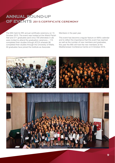# ANNUAL ROUND-UP OF EVENTS 2015 CERTIFICATE CEREMONY

The MIA held its fifth annual certificate ceremony on 15 October 2015. The event was hosted at the Attard Parish Hall and 211 graduates (and circa 700 attendees in all) were invited to attend the graduation ceremony – 115 completed their studies through ACCA whereas 96 completed their studies through the University of Malta. All graduates have joined the Institute as Associate

Members in the past year.

This event has become a regular feature on MIA's calendar and to reflect the importance that this event has reached as well as the number of new members and graduates, this year the MIA will host the new members at the Mediterranean Conference Centre on 6 October 2016.



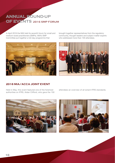# ANNUAL ROUND-UP OF EVENTS 2016 SMP FORUM

In April 2016 the MIA held its seventh forum for small and medium-sized practitioners (SMPs). MIA's SMP Committee put together a full-day programme that



brought together representatives from the regulatory community, thought leaders and subject matter experts who addressed more than 100 attendees.



### **2016 MIA/ACCA JOINT EVENT**

Held in May, this event featured one of the foremost authorities on IFRS, Aidan Clifford, who gave the 150 attendees an overview of all extant IFRS standards.



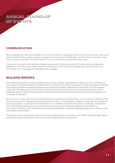

#### **COMMUNICATION**

We are changing the style and methods of our communications by engaging more on social media and are using smart tools that should help us reach broader and deeper into our circles of stakeholders, whether they are members, their clients or service providers, financial institutions, or even school leavers exploring career paths.

A new communications and marketing strategy was launched during November 2015 that involves a professional presence on the major social media channels and the use of a new and more versatile email communication tool, which allows us to have planned campaigns and messages.

#### **BUILDING BRIDGES**

The Institute continued to cement its relationships with key member organisations in Malta such as the Chamber of Commerce, the General Retailers and Traders Union (GRTU) and the Malta Association of Credit Management (MACM). This initiative is aimed at enhancing dialogue and establishing a better presence and reach with the local business community. We believe that if we do that and are seen to be doing that, then our members and indeed the entire profession stand to benefit. Going forward we shall hold training and networking events with these organisations for the benefit of members.

We keep close contact with key Government Ministries, Authorities and Departments. The Accountancy Board and the Faculty of Economics, Management and Accountancy (FEMA), at the University of Malta, in particular, are considered to be major allies in our bid to further the interests of our members and of the accountancy profession. In December 2015, the Institute participated and contributed towards the annual conference organised by the Master in Accountancy students, which discussed the continued applicability of financial reporting obligations for Maltese small and medium-sized entities.

The Institute has for the past year been sponsoring a visiting lecturer to courses run by FEMA. Professor Robin Jarvis undertakes advanced teaching in the field of Financial Reporting for Small Entities.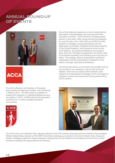### ANNUAL ROUND-UP OF EVENTS



**ACCA** 

The ACA, offered by the Institute of Chartered Accountants of England and Wales, was introduced in Malta in 2012. The MIA acted as mediator, to enable ACA students to undertake Maltese tax and law papers. In 2015, ICAEW held its first graduation ceremony for 11 newly qualified Chartered Accountants.





The ACCA also allows us to enhance the benefits that we can provide to our members, such as their technical helpline, which can be used by MIA members, their research and specialised knowledge, which is divulged to members via joint technical events that are delivered by ACCA experts.



On the EU front, the Institute's CEO, regularly attends to the FEE member assembly and the Institute's Vice-president, William Spiteri Bailey attends to IFAC SMP Committee meetings as an advisor to the Committee's Chair, Giancarlo Attolini. Intelligence gained at these meetings is relayed back to the Institute's Committees and Council for onward benefit by members through guidance and training.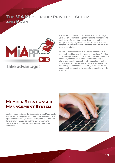### THE MIA MEMBERSHIP PRIVILEGE SCHEME AND MIAPP



In 2012 the Institute launched its Membership Privilege Card, which sought to bring more value to members. The card is part of a membership privilege scheme that through specially negotiated prices allows members to benefit from exclusive incentives in the forms of offers or other price rebates.

As part of its commitment to members, the Institute is constantly seeking ways to improve its services. Besides constantly updating our list with new providers, offers and discounts, we have developed a smartphone app that allows members to access the privilege scheme on the go. This app can be downloaded on smartphones to help members gain access to a wide array of retail and CPE discounts, thus reducing the cost of membership with the Institute.

### **Member Relationship Management System**

We have gone to tender for the rebuild of the MIA website and its back-end system with three objectives in focus – operational efficiency, business intelligence and member functionality. The aim behind the new system is to manage the Institute's growing member base more effectively.

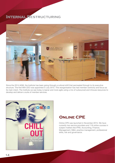### INTERNAL RESTRUCTURING



Since the 2014 AGM, the Institute has been going through a cultural shift that permeated through to its executive structure. The first MIA CEO was appointed in July 2015. This reorganisation has had member centricity and focus as its main intent. The Institute we see today is leaner and more agile using a mix of outsourced and inhouse resources to develop and deliver a suite of member services.



### **Online CPE**

Online CPE was launched in November 2015. We have currently two service providers and 118 online courses in subject matters like IFRS, Accounting, Finance, Management, M&A, practice management, professional skills, risk and governance.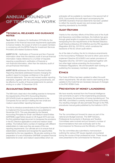### ANNUAL ROUND-UP OF TECHNICAL WORK

#### **Technical releases and guidance notes**

**Tech 01/15** – Guidance On Verification Of Profits for the purposes of the financial resources requirements applicable to licence holders, the scope of which is to assist members in complying with the MFSA Rules for Investment Services Providers and related Guidance Notes.

**AUDIT 01/16** – Verification of Financial and Non-Financial Information other than the statutory audit of annual financial information makes reference to a number of requests requiring a practitioner's verification of financial or non-financial information, other than the statutory audit of annual financial information.

**AUDIT 02/16** addresses the New and Revised Auditor Reporting Standards addressed towards changing the auditor's report to increase confidence in the audit of financial statements. The new and revised auditor reporting standards, together with the conforming amendments, will be effective for audits of financial statements for periods ending on or after 15 December 2016.

#### **Accounting Directive**

The MIA took a lead role in the drafting exercise to transpose the requirements of the 2013 Accounting Directive (2013/34/EU) both as regards the amendments to the Companies Act as well as in drafting the new small and medium-sized entities' reporting framework.

The Act to introduce amendments to the Companies Act and to implement the Accounting Directive was published in November 2015. This was preceded by the General Accounting Principles for Small- and Medium-sized Entities (GAPSME) Legal Notice issued on 28 August 2015 and was the first published legal document to transpose the provisions in the EC Directive applicable to small and medium-sized entities. The Institute held a number of meetings with different stakeholders to make sure they are aware of the new reporting requirements. Our ultimate aim is to ensure that all stakeholders understand and recognise the opportunities presented by the new regulations. We are also working on the preparation of a set of illustrative GAPSME compliant financial statements for small- and medium-sized entities which we

anticipate will be available to members in the second half of 2016. Concurrently the audit report accompanying the GAPSME illustrative financial statements has been updated to reflect the recently issued new and revised auditor reporting standards by the IAASB.

#### **Audit Reform**

Thanks to the voluntary efforts of the Ethics and of the Audit and Assurance committee members, the Institute has gone through great lengths to support the Accountancy Board in transposing the new requirements of the Revised Statutory Audit Directive (Directive 2014/56/EU) and the PIE regulation (Regulation (EU) No. 537/2014), which constitute the backbone of the EC driven audit reform.

As of the date of writing, the Act to introduce amendments to the Accountancy Profession Act and to other Laws and to implement Directive 2014/56/EU and certain provisions of Regulation (EU) No. 537/2014 was published together with two other legal notices amending the Accountancy Profession Regulations. We will henceforth start working on publishing the necessary members' guidance.

#### **Ethics**

The Code of Ethics has been updated to reflect the audit reform requirements. We will also need to start looking at the updates to the Code that are necessary because of changes to the IFAC IESBA Code.

#### **Prevention of money laundering**

We have recently received from the Financial Intelligence Unit comments on part 2 of the implementing procedures that accompany the prevention of money laundering act. The MIA PML committee is currently reviewing these comments. Any resulting changes will also permeate through to the PML procedures manual guide published by the Institute in 2013.

### **Tax**

The Tax committee put forward its views as part of the national pre-Budget exercise. The SMP Advisory, Professional Accountants in Business and Taxation Committees were involved and put forward a number of recommendations that were eventually sent to the Commissioner for Revenue and the Ministry of Finance.

The Tax committee also submitted a memorandum outlining the various VAT issues regularly encountered during the course of their professional work. These issues were presented to the Commissioner for Revenue.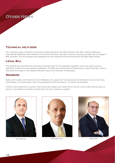

#### **Technical help desk**

As in previous years, members continued to submit queries to the MIA technical help desk. Queries relating to international standards were referred to the ACCA's technical help desk, which is a service provided free of charge to MIA members. All other queries were addressed by the Institute's technical staff led by Michelle Spiteri Bailey.

#### **Legal Bill**

The Institute has submitted its comments to Government on the proposed Legal Bill, which was seen to pose a significant threat to the accountancy profession. The MIA was instrumental in reflecting the views of the big, medium and small firms alike, to the different Ministers and to the Chamber of Advocates.

#### **MEMBERS**

Sadly, 2015 ended with the loss of Kevin Mahoney who, apart from having served the Institute in Council and many Committees, for several years, was a true gentleman and a fine person. He will be remembered.

Anthony Zarb retired from Council in 2015 and Hilary Galea Lauri retired from Council in 2016, after several years of service. The Institute would like to thank them for their continuous support.





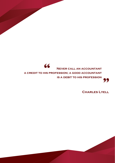**66** NEVER CALL AN ACCOUNTANT **a credit to his profession; a good accountant is a debit to his profession** 99

 **Charles Lyell**